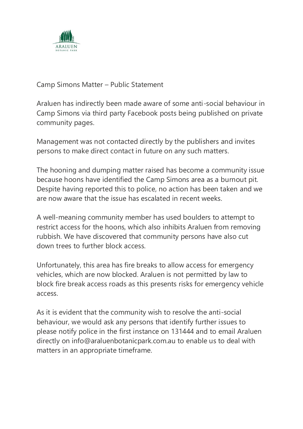

## Camp Simons Matter – Public Statement

Araluen has indirectly been made aware of some anti-social behaviour in Camp Simons via third party Facebook posts being published on private community pages.

Management was not contacted directly by the publishers and invites persons to make direct contact in future on any such matters.

The hooning and dumping matter raised has become a community issue because hoons have identified the Camp Simons area as a burnout pit. Despite having reported this to police, no action has been taken and we are now aware that the issue has escalated in recent weeks.

A well-meaning community member has used boulders to attempt to restrict access for the hoons, which also inhibits Araluen from removing rubbish. We have discovered that community persons have also cut down trees to further block access.

Unfortunately, this area has fire breaks to allow access for emergency vehicles, which are now blocked. Araluen is not permitted by law to block fire break access roads as this presents risks for emergency vehicle access.

As it is evident that the community wish to resolve the anti-social behaviour, we would ask any persons that identify further issues to please notify police in the first instance on 131444 and to email Araluen directly on info@araluenbotanicpark.com.au to enable us to deal with matters in an appropriate timeframe.